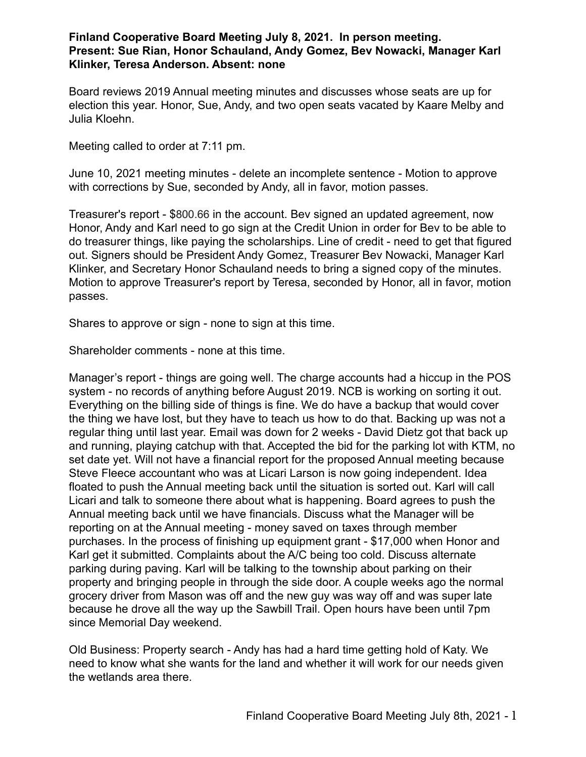## **Finland Cooperative Board Meeting July 8, 2021. In person meeting. Present: Sue Rian, Honor Schauland, Andy Gomez, Bev Nowacki, Manager Karl Klinker, Teresa Anderson. Absent: none**

Board reviews 2019 Annual meeting minutes and discusses whose seats are up for election this year. Honor, Sue, Andy, and two open seats vacated by Kaare Melby and Julia Kloehn.

Meeting called to order at 7:11 pm.

June 10, 2021 meeting minutes - delete an incomplete sentence - Motion to approve with corrections by Sue, seconded by Andy, all in favor, motion passes.

Treasurer's report - \$800.66 in the account. Bev signed an updated agreement, now Honor, Andy and Karl need to go sign at the Credit Union in order for Bev to be able to do treasurer things, like paying the scholarships. Line of credit - need to get that figured out. Signers should be President Andy Gomez, Treasurer Bev Nowacki, Manager Karl Klinker, and Secretary Honor Schauland needs to bring a signed copy of the minutes. Motion to approve Treasurer's report by Teresa, seconded by Honor, all in favor, motion passes.

Shares to approve or sign - none to sign at this time.

Shareholder comments - none at this time.

Manager's report - things are going well. The charge accounts had a hiccup in the POS system - no records of anything before August 2019. NCB is working on sorting it out. Everything on the billing side of things is fine. We do have a backup that would cover the thing we have lost, but they have to teach us how to do that. Backing up was not a regular thing until last year. Email was down for 2 weeks - David Dietz got that back up and running, playing catchup with that. Accepted the bid for the parking lot with KTM, no set date yet. Will not have a financial report for the proposed Annual meeting because Steve Fleece accountant who was at Licari Larson is now going independent. Idea floated to push the Annual meeting back until the situation is sorted out. Karl will call Licari and talk to someone there about what is happening. Board agrees to push the Annual meeting back until we have financials. Discuss what the Manager will be reporting on at the Annual meeting - money saved on taxes through member purchases. In the process of finishing up equipment grant - \$17,000 when Honor and Karl get it submitted. Complaints about the A/C being too cold. Discuss alternate parking during paving. Karl will be talking to the township about parking on their property and bringing people in through the side door. A couple weeks ago the normal grocery driver from Mason was off and the new guy was way off and was super late because he drove all the way up the Sawbill Trail. Open hours have been until 7pm since Memorial Day weekend.

Old Business: Property search - Andy has had a hard time getting hold of Katy. We need to know what she wants for the land and whether it will work for our needs given the wetlands area there.